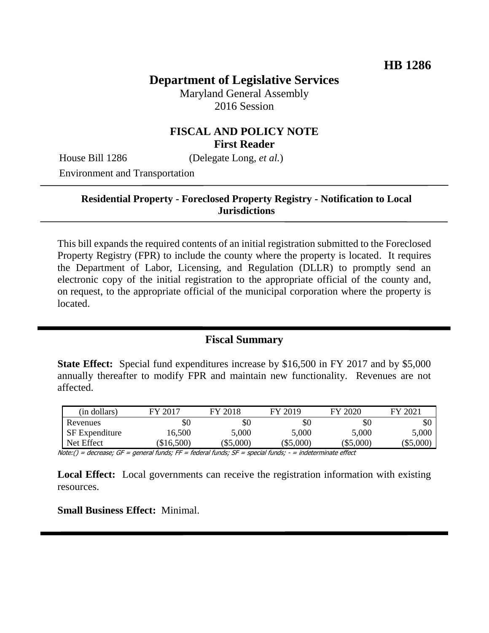# **Department of Legislative Services**

Maryland General Assembly 2016 Session

### **FISCAL AND POLICY NOTE First Reader**

House Bill 1286 (Delegate Long, *et al.*)

Environment and Transportation

### **Residential Property - Foreclosed Property Registry - Notification to Local Jurisdictions**

This bill expands the required contents of an initial registration submitted to the Foreclosed Property Registry (FPR) to include the county where the property is located. It requires the Department of Labor, Licensing, and Regulation (DLLR) to promptly send an electronic copy of the initial registration to the appropriate official of the county and, on request, to the appropriate official of the municipal corporation where the property is located.

## **Fiscal Summary**

**State Effect:** Special fund expenditures increase by \$16,500 in FY 2017 and by \$5,000 annually thereafter to modify FPR and maintain new functionality. Revenues are not affected.

| (in dollars)          | FY 2017  | FY 2018 | FY 2019 | FY 2020     | FY 2021     |
|-----------------------|----------|---------|---------|-------------|-------------|
| Revenues              | $\$0$    | \$0     | \$0     | \$0         | \$0         |
| <b>SF</b> Expenditure | 16,500   | 5,000   | 5,000   | 5,000       | 5,000       |
| Net Effect            | \$16,500 | \$5,000 | \$5,000 | $(\$5,000)$ | $(\$5,000)$ |

Note:() = decrease; GF = general funds; FF = federal funds; SF = special funds; - = indeterminate effect

**Local Effect:** Local governments can receive the registration information with existing resources.

**Small Business Effect:** Minimal.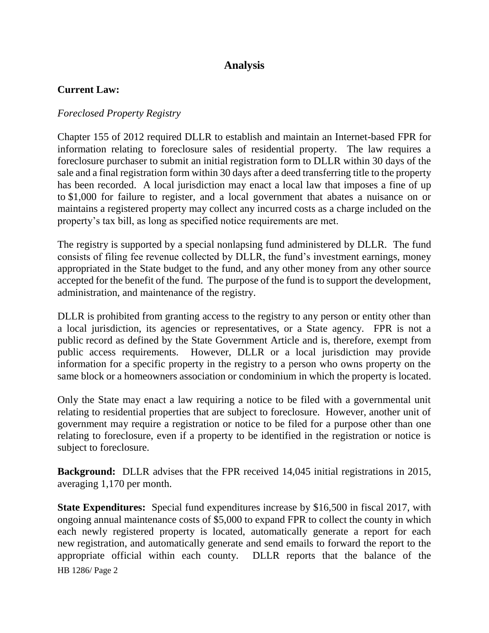## **Analysis**

### **Current Law:**

### *Foreclosed Property Registry*

Chapter 155 of 2012 required DLLR to establish and maintain an Internet-based FPR for information relating to foreclosure sales of residential property. The law requires a foreclosure purchaser to submit an initial registration form to DLLR within 30 days of the sale and a final registration form within 30 days after a deed transferring title to the property has been recorded. A local jurisdiction may enact a local law that imposes a fine of up to \$1,000 for failure to register, and a local government that abates a nuisance on or maintains a registered property may collect any incurred costs as a charge included on the property's tax bill, as long as specified notice requirements are met.

The registry is supported by a special nonlapsing fund administered by DLLR. The fund consists of filing fee revenue collected by DLLR, the fund's investment earnings, money appropriated in the State budget to the fund, and any other money from any other source accepted for the benefit of the fund. The purpose of the fund is to support the development, administration, and maintenance of the registry.

DLLR is prohibited from granting access to the registry to any person or entity other than a local jurisdiction, its agencies or representatives, or a State agency. FPR is not a public record as defined by the State Government Article and is, therefore, exempt from public access requirements. However, DLLR or a local jurisdiction may provide information for a specific property in the registry to a person who owns property on the same block or a homeowners association or condominium in which the property is located.

Only the State may enact a law requiring a notice to be filed with a governmental unit relating to residential properties that are subject to foreclosure. However, another unit of government may require a registration or notice to be filed for a purpose other than one relating to foreclosure, even if a property to be identified in the registration or notice is subject to foreclosure.

**Background:** DLLR advises that the FPR received 14,045 initial registrations in 2015, averaging 1,170 per month.

HB 1286/ Page 2 **State Expenditures:** Special fund expenditures increase by \$16,500 in fiscal 2017, with ongoing annual maintenance costs of \$5,000 to expand FPR to collect the county in which each newly registered property is located, automatically generate a report for each new registration, and automatically generate and send emails to forward the report to the appropriate official within each county. DLLR reports that the balance of the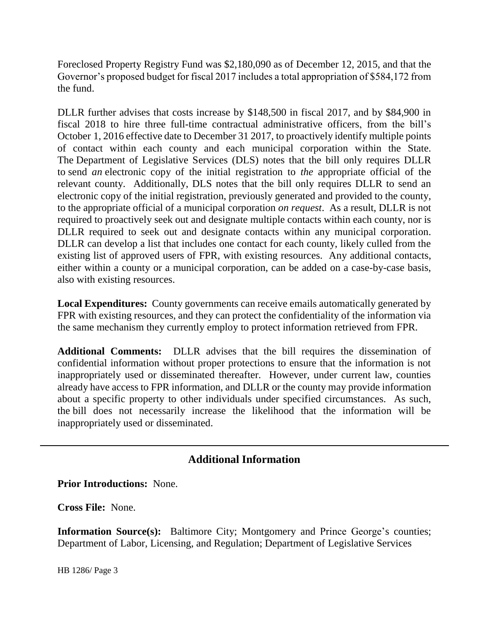Foreclosed Property Registry Fund was \$2,180,090 as of December 12, 2015, and that the Governor's proposed budget for fiscal 2017 includes a total appropriation of \$584,172 from the fund.

DLLR further advises that costs increase by \$148,500 in fiscal 2017, and by \$84,900 in fiscal 2018 to hire three full-time contractual administrative officers, from the bill's October 1, 2016 effective date to December 31 2017, to proactively identify multiple points of contact within each county and each municipal corporation within the State. The Department of Legislative Services (DLS) notes that the bill only requires DLLR to send *an* electronic copy of the initial registration to *the* appropriate official of the relevant county. Additionally, DLS notes that the bill only requires DLLR to send an electronic copy of the initial registration, previously generated and provided to the county, to the appropriate official of a municipal corporation *on request*. As a result, DLLR is not required to proactively seek out and designate multiple contacts within each county, nor is DLLR required to seek out and designate contacts within any municipal corporation. DLLR can develop a list that includes one contact for each county, likely culled from the existing list of approved users of FPR, with existing resources. Any additional contacts, either within a county or a municipal corporation, can be added on a case-by-case basis, also with existing resources.

**Local Expenditures:** County governments can receive emails automatically generated by FPR with existing resources, and they can protect the confidentiality of the information via the same mechanism they currently employ to protect information retrieved from FPR.

**Additional Comments:** DLLR advises that the bill requires the dissemination of confidential information without proper protections to ensure that the information is not inappropriately used or disseminated thereafter. However, under current law, counties already have access to FPR information, and DLLR or the county may provide information about a specific property to other individuals under specified circumstances. As such, the bill does not necessarily increase the likelihood that the information will be inappropriately used or disseminated.

## **Additional Information**

**Prior Introductions:** None.

**Cross File:** None.

**Information Source(s):** Baltimore City; Montgomery and Prince George's counties; Department of Labor, Licensing, and Regulation; Department of Legislative Services